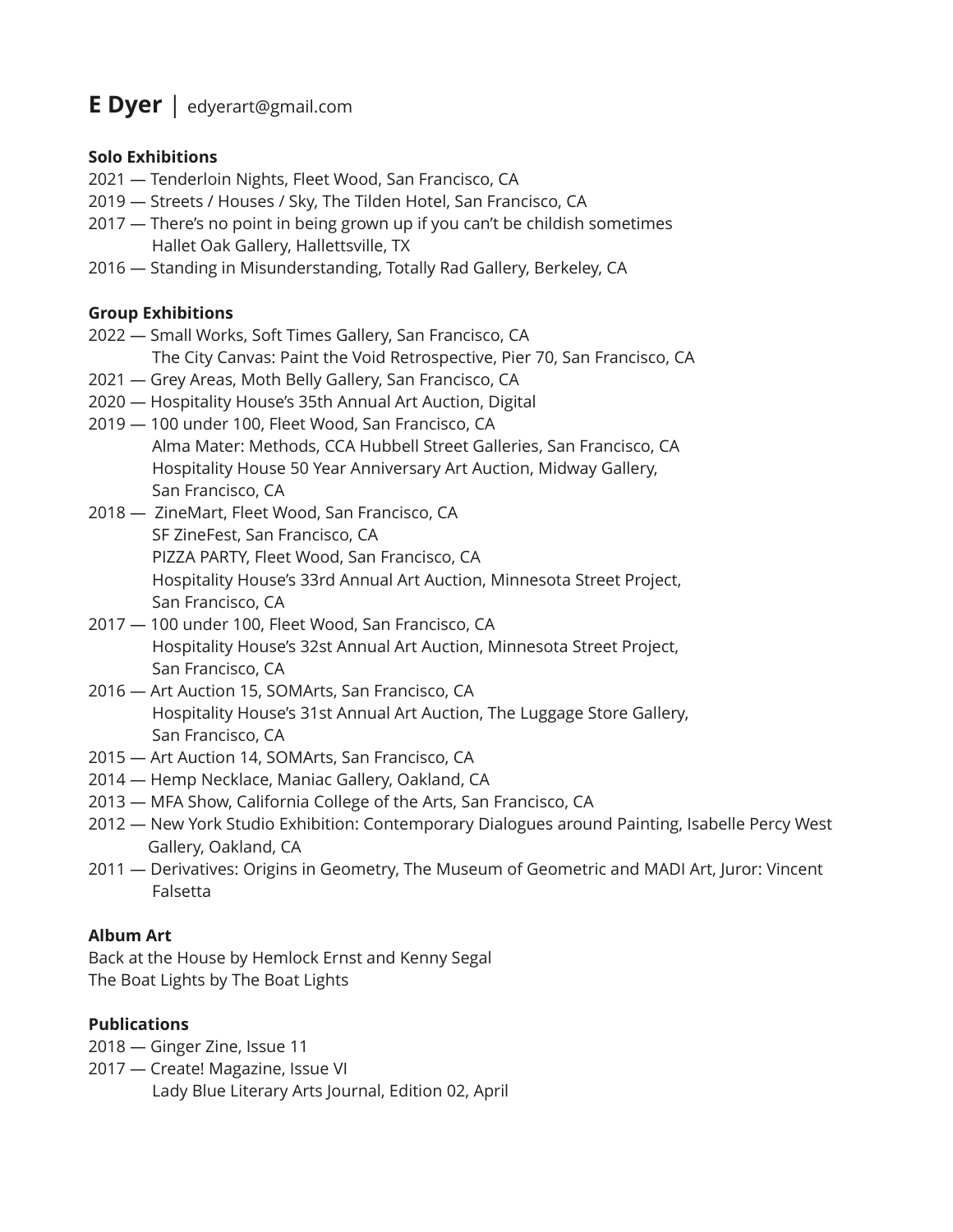# **E Dyer** | edyerart@gmail.com

### **Solo Exhibitions**

- 2021 Tenderloin Nights, Fleet Wood, San Francisco, CA
- 2019 Streets / Houses / Sky, The Tilden Hotel, San Francisco, CA
- 2017 There's no point in being grown up if you can't be childish sometimes Hallet Oak Gallery, Hallettsville, TX
- 2016 Standing in Misunderstanding, Totally Rad Gallery, Berkeley, CA

## **Group Exhibitions**

- 2022 Small Works, Soft Times Gallery, San Francisco, CA
	- The City Canvas: Paint the Void Retrospective, Pier 70, San Francisco, CA
- 2021 Grey Areas, Moth Belly Gallery, San Francisco, CA
- 2020 Hospitality House's 35th Annual Art Auction, Digital
- 2019 100 under 100, Fleet Wood, San Francisco, CA Alma Mater: Methods, CCA Hubbell Street Galleries, San Francisco, CA Hospitality House 50 Year Anniversary Art Auction, Midway Gallery, San Francisco, CA
- 2018 ZineMart, Fleet Wood, San Francisco, CA SF ZineFest, San Francisco, CA PIZZA PARTY, Fleet Wood, San Francisco, CA Hospitality House's 33rd Annual Art Auction, Minnesota Street Project, San Francisco, CA
- 2017 100 under 100, Fleet Wood, San Francisco, CA Hospitality House's 32st Annual Art Auction, Minnesota Street Project, San Francisco, CA
- 2016 Art Auction 15, SOMArts, San Francisco, CA Hospitality House's 31st Annual Art Auction, The Luggage Store Gallery, San Francisco, CA
- 2015 Art Auction 14, SOMArts, San Francisco, CA
- 2014 Hemp Necklace, Maniac Gallery, Oakland, CA
- 2013 MFA Show, California College of the Arts, San Francisco, CA
- 2012 New York Studio Exhibition: Contemporary Dialogues around Painting, Isabelle Percy West Gallery, Oakland, CA
- 2011 Derivatives: Origins in Geometry, The Museum of Geometric and MADI Art, Juror: Vincent Falsetta

## **Album Art**

Back at the House by Hemlock Ernst and Kenny Segal The Boat Lights by The Boat Lights

## **Publications**

- 2018 Ginger Zine, Issue 11
- 2017 Create! Magazine, Issue VI
	- Lady Blue Literary Arts Journal, Edition 02, April